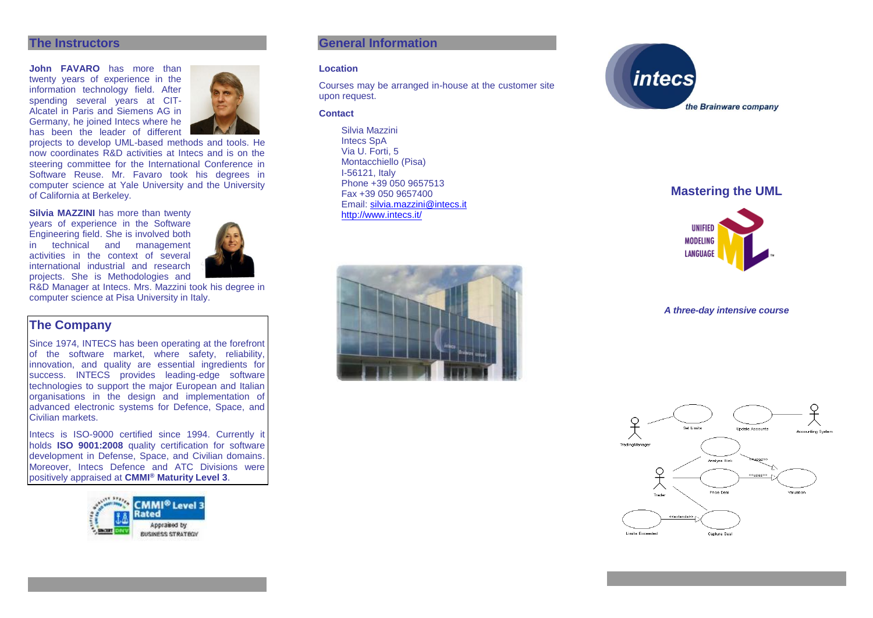### **The Instructors**

**John FAVARO** has more than twenty years of experience in the information technology field. After spending several years at CIT - Alcatel in Paris and Siemens AG in Germany, he joined Intecs where he has been the leader of different



projects to develop UML -based methods and tools. He now coordinates R&D activities at Intecs and is on the steering committee for the International Conference in Software Reuse. Mr. Favaro took his degrees in computer science at Yale University and the University of California at Berkeley.

### **Silvia MAZZINI** has more than twenty

years of experience in the Software Engineering field. She is involved both in technical and management activities in the context of several international industrial and research projects. She is Methodologies and



R&D Manager at Intecs. Mrs. Mazzini took his degree in computer science at Pisa University in Italy.

## **The Company**

Since 1974, INTECS has been operating at the forefront of the software market, where safety, reliability, innovation, and quality are essential ingredients for success. INTECS provides leading -edge software technologies to support the major European and Italian organisations in the design and implementation of advanced electronic systems for Defence, Space, and Civilian markets.

Intecs is ISO -9000 certified since 1994. Currently it holds **ISO 9001:2008** quality certification for software development in Defense, Space, and Civilian domains. Moreover, Intecs Defence and ATC Divisions were positively appraised at **CMMI ® Maturity Level 3** .



## **General Information**

#### **Location**

Courses may be arranged in -house at the customer site upon request.

### **Contact**

Silvia Mazzini Intecs SpA Via U. Forti, 5 Montacchiello (Pisa) I-56121, Italy Phone +39 050 9657513 Fax +39 050 9657400 Email: [silvia.mazzini@intecs.it](mailto:andrea.musone@intecs.it) <http://www.intecs.it/>





# **Mastering the UML**



A three-day intensive course